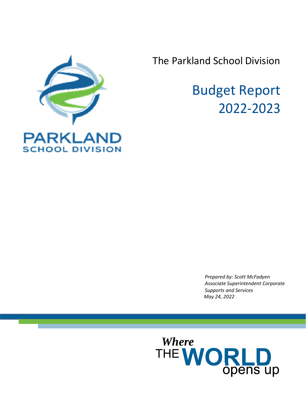

The Parkland School Division

# Budget Report 2022‐2023

*Prepared by: Scott McFadyen Associate Superintendent Corporate Supports and Services May 24, 2022*

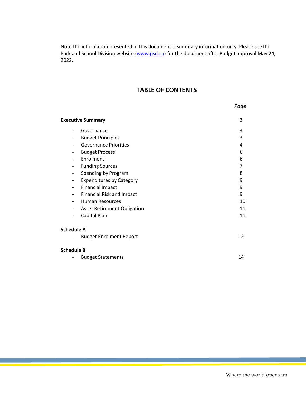Note the information presented in this document is summary information only. Please see the Parkland School Division website (www.psd.ca) for the document after Budget approval May 24, 2022.

# **TABLE OF CONTENTS**

|                   | <b>Executive Summary</b>           | 3  |
|-------------------|------------------------------------|----|
|                   | Governance                         | 3  |
|                   | <b>Budget Principles</b>           | 3  |
|                   | <b>Governance Priorities</b>       | 4  |
| -                 | <b>Budget Process</b>              | 6  |
|                   | Enrolment                          | 6  |
| ۰                 | <b>Funding Sources</b>             | 7  |
| -                 | Spending by Program                | 8  |
| -                 | <b>Expenditures by Category</b>    | 9  |
|                   | <b>Financial Impact</b>            | 9  |
|                   | <b>Financial Risk and Impact</b>   | 9  |
|                   | <b>Human Resources</b>             | 10 |
| -                 | <b>Asset Retirement Obligation</b> | 11 |
|                   | Capital Plan                       | 11 |
| <b>Schedule A</b> |                                    |    |
|                   | <b>Budget Enrolment Report</b>     | 12 |
| <b>Schedule B</b> |                                    |    |
|                   | <b>Budget Statements</b>           | 14 |

*Page*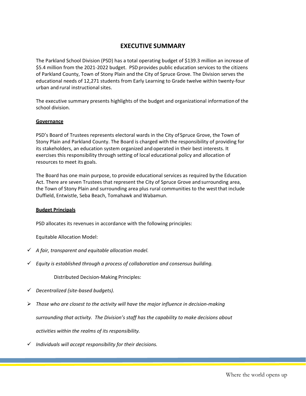## **EXECUTIVE SUMMARY**

The Parkland School Division (PSD) has a total operating budget of \$139.3 million an increase of \$5.4 million from the 2021-2022 budget. PSD provides public education services to the citizens of Parkland County, Town of Stony Plain and the City of Spruce Grove. The Division serves the educational needs of 12,271 students from Early Learning to Grade twelve within twenty‐four urban and rural instructional sites.

The executive summary presents highlights of the budget and organizational information of the school division.

#### **Governance**

PSD's Board of Trustees represents electoral wards in the City of Spruce Grove, the Town of Stony Plain and Parkland County. The Board is charged with the responsibility of providing for its stakeholders, an education system organized and operated in their best interests. It exercises this responsibility through setting of local educational policy and allocation of resources to meet its goals.

The Board has one main purpose, to provide educational services as required by the Education Act. There are seven Trustees that represent the City of Spruce Grove and surrounding area, the Town of Stony Plain and surrounding area plus rural communities to the west that include Duffield, Entwistle, Seba Beach, Tomahawk and Wabamun.

#### **Budget Principals**

PSD allocates its revenues in accordance with the following principles:

Equitable Allocation Model:

- *A fair, transparent and equitable allocation model.*
- *Equity is established through a process of collaboration and consensus building.*

Distributed Decision‐Making Principles:

- *Decentralized (site‐based budgets).*
- *Those who are closest to the activity will have the major influence in decision‐making*

*surrounding that activity. The Division's staff has the capability to make decisions about* 

*activities within the realms of its responsibility.* 

*Individuals will accept responsibility for their decisions.*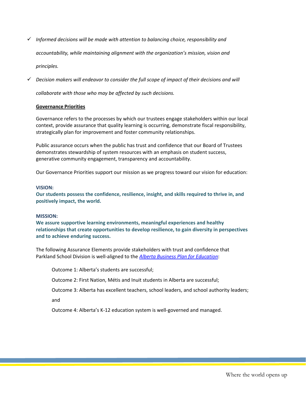*Informed decisions will be made with attention to balancing choice, responsibility and* 

*accountability, while maintaining alignment with the organization's mission, vision and* 

*principles.* 

*Decision makers will endeavor to consider the full scope of impact of their decisions and will* 

*collaborate with those who may be affected by such decisions.* 

#### **Governance Priorities**

Governance refers to the processes by which our trustees engage stakeholders within our local context, provide assurance that quality learning is occurring, demonstrate fiscal responsibility, strategically plan for improvement and foster community relationships.

Public assurance occurs when the public has trust and confidence that our Board of Trustees demonstrates stewardship of system resources with an emphasis on student success, generative community engagement, transparency and accountability.

Our Governance Priorities support our mission as we progress toward our vision for education:

#### **VISION:**

**Our students possess the confidence, resilience, insight, and skills required to thrive in, and positively impact, the world.** 

#### **MISSION:**

**We assure supportive learning environments, meaningful experiences and healthy relationships that create opportunities to develop resilience, to gain diversity in perspectives and to achieve enduring success.** 

The following Assurance Elements provide stakeholders with trust and confidence that Parkland School Division is well‐aligned to the *Alberta Business Plan for Education*:

Outcome 1: Alberta's students are successful;

Outcome 2: First Nation, Métis and Inuit students in Alberta are successful;

Outcome 3: Alberta has excellent teachers, school leaders, and school authority leaders;

and

Outcome 4: Alberta's K‐12 education system is well‐governed and managed.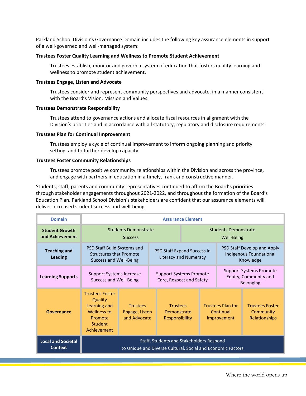Parkland School Division's Governance Domain includes the following key assurance elements in support of a well‐governed and well‐managed system:

#### **Trustees Foster Quality Learning and Wellness to Promote Student Achievement**

Trustees establish, monitor and govern a system of education that fosters quality learning and wellness to promote student achievement.

#### **Trustees Engage, Listen and Advocate**

Trustees consider and represent community perspectives and advocate, in a manner consistent with the Board's Vision, Mission and Values.

#### **Trustees Demonstrate Responsibility**

Trustees attend to governance actions and allocate fiscal resources in alignment with the Division's priorities and in accordance with all statutory, regulatory and disclosure requirements.

#### **Trustees Plan for Continual Improvement**

Trustees employ a cycle of continual improvement to inform ongoing planning and priority setting, and to further develop capacity.

#### **Trustees Foster Community Relationships**

Trustees promote positive community relationships within the Division and across the province, and engage with partners in education in a timely, frank and constructive manner.

Students, staff, parents and community representatives continued to affirm the Board's priorities through stakeholder engagements throughout 2021‐2022, and throughout the formation of the Board's Education Plan. Parkland School Division's stakeholders are confident that our assurance elements will deliver increased student success and well‐being.

| <b>Domain</b>                               |                                                                                                       |                                                   |                                                                                                         | <b>Assurance Element</b> |                                                      |                                                                             |
|---------------------------------------------|-------------------------------------------------------------------------------------------------------|---------------------------------------------------|---------------------------------------------------------------------------------------------------------|--------------------------|------------------------------------------------------|-----------------------------------------------------------------------------|
| <b>Student Growth</b><br>and Achievement    |                                                                                                       | <b>Students Demonstrate</b><br><b>Success</b>     |                                                                                                         |                          | <b>Students Demonstrate</b><br>Well-Being            |                                                                             |
| <b>Teaching and</b><br>Leading              | PSD Staff Build Systems and<br><b>Structures that Promote</b><br><b>Success and Well-Being</b>        |                                                   | PSD Staff Expand Success in<br>Literacy and Numeracy                                                    |                          |                                                      | PSD Staff Develop and Apply<br>Indigenous Foundational<br>Knowledge         |
| <b>Learning Supports</b>                    | <b>Support Systems Increase</b><br>Success and Well-Being                                             |                                                   | <b>Support Systems Promote</b><br>Care, Respect and Safety                                              |                          |                                                      | <b>Support Systems Promote</b><br>Equity, Community and<br><b>Belonging</b> |
| Governance                                  | <b>Trustees Foster</b><br>Quality<br>Learning and<br>Wellness to<br>Promote<br>Student<br>Achievement | <b>Trustees</b><br>Engage, Listen<br>and Advocate | <b>Trustees</b><br>Demonstrate<br>Responsibility                                                        |                          | <b>Trustees Plan for</b><br>Continual<br>Improvement | <b>Trustees Foster</b><br>Community<br>Relationships                        |
| <b>Local and Societal</b><br><b>Context</b> |                                                                                                       |                                                   | Staff, Students and Stakeholders Respond<br>to Unique and Diverse Cultural, Social and Economic Factors |                          |                                                      |                                                                             |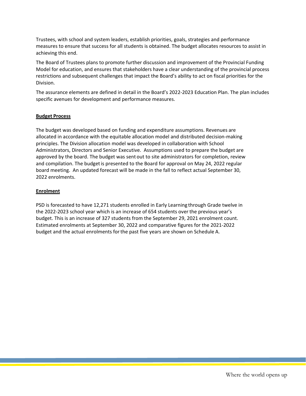Trustees, with school and system leaders, establish priorities, goals, strategies and performance measures to ensure that success for all students is obtained. The budget allocates resources to assist in achieving this end.

The Board of Trustees plans to promote further discussion and improvement of the Provincial Funding Model for education, and ensures that stakeholders have a clear understanding of the provincial process restrictions and subsequent challenges that impact the Board's ability to act on fiscal priorities for the Division.

The assurance elements are defined in detail in the Board's 2022‐2023 Education Plan. The plan includes specific avenues for development and performance measures.

#### **Budget Process**

The budget was developed based on funding and expenditure assumptions. Revenues are allocated in accordance with the equitable allocation model and distributed decision‐making principles. The Division allocation model was developed in collaboration with School Administrators, Directors and Senior Executive. Assumptions used to prepare the budget are approved by the board. The budget was sent out to site administrators for completion, review and compilation. The budget is presented to the Board for approval on May 24, 2022 regular board meeting. An updated forecast will be made in the fall to reflect actual September 30, 2022 enrolments.

#### **Enrolment**

PSD is forecasted to have 12,271 students enrolled in Early Learning through Grade twelve in the 2022‐2023 school year which is an increase of 654 students over the previous year's budget. This is an increase of 327 students from the September 29, 2021 enrolment count. Estimated enrolments at September 30, 2022 and comparative figures for the 2021‐2022 budget and the actual enrolments for the past five years are shown on Schedule A.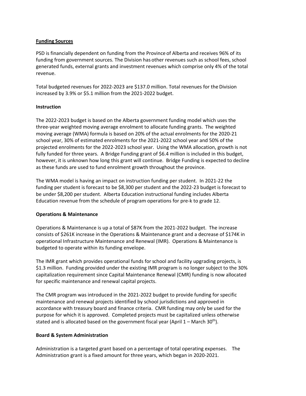#### **Funding Sources**

PSD is financially dependent on funding from the Province of Alberta and receives 96% of its funding from government sources. The Division has other revenues such as school fees, school generated funds, external grants and investment revenues which comprise only 4% of the total revenue.

Total budgeted revenues for 2022‐2023 are \$137.0 million. Total revenues for the Division increased by 3.9% or \$5.1 million from the 2021‐2022 budget.

#### **Instruction**

The 2022‐2023 budget is based on the Alberta government funding model which uses the three‐year weighted moving average enrolment to allocate funding grants. The weighted moving average (WMA) formula is based on 20% of the actual enrolments for the 2020‐21 school year, 30% of estimated enrolments for the 2021‐2022 school year and 50% of the projected enrolments for the 2022‐2023 school year. Using the WMA allocation, growth is not fully funded for three years. A Bridge Funding grant of \$6.4 million is included in this budget, however, it is unknown how long this grant will continue. Bridge Funding is expected to decline as these funds are used to fund enrolment growth throughout the province.

The WMA model is having an impact on instruction funding per student. In 2021‐22 the funding per student is forecast to be \$8,300 per student and the 2022‐23 budget is forecast to be under \$8,200 per student. Alberta Education instructional funding includes Alberta Education revenue from the schedule of program operations for pre‐k to grade 12.

#### **Operations & Maintenance**

Operations & Maintenance is up a total of \$87K from the 2021‐2022 budget. The increase consists of \$261K increase in the Operations & Maintenance grant and a decrease of \$174K in operational Infrastructure Maintenance and Renewal (IMR). Operations & Maintenance is budgeted to operate within its funding envelope.

The IMR grant which provides operational funds for school and facility upgrading projects, is \$1.3 million. Funding provided under the existing IMR program is no longer subject to the 30% capitalization requirement since Capital Maintenance Renewal (CMR) funding is now allocated for specific maintenance and renewal capital projects.

The CMR program was introduced in the 2021-2022 budget to provide funding for specific maintenance and renewal projects identified by school jurisdictions and approved in accordance with treasury board and finance criteria. CMR funding may only be used for the purpose for which it is approved. Completed projects must be capitalized unless otherwise stated and is allocated based on the government fiscal year (April  $1 -$  March 30<sup>th</sup>).

#### **Board & System Administration**

Administration is a targeted grant based on a percentage of total operating expenses. The Administration grant is a fixed amount for three years, which began in 2020‐2021.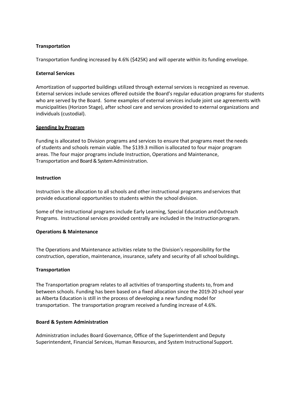#### **Transportation**

Transportation funding increased by 4.6% (\$425K) and will operate within its funding envelope.

#### **External Services**

Amortization of supported buildings utilized through external services is recognized as revenue. External services include services offered outside the Board's regular education programs for students who are served by the Board. Some examples of external services include joint use agreements with municipalities (Horizon Stage), after school care and services provided to external organizations and individuals (custodial).

#### **Spending by Program**

Funding is allocated to Division programs and services to ensure that programs meet the needs of students and schools remain viable. The \$139.3 million is allocated to four major program areas. The four major programs include Instruction, Operations and Maintenance, Transportation and Board & System Administration.

#### **Instruction**

Instruction is the allocation to all schools and other instructional programs and services that provide educational opportunities to students within the school division.

Some of the instructional programs include Early Learning, Special Education and Outreach Programs. Instructional services provided centrally are included in the Instruction program.

#### **Operations & Maintenance**

The Operations and Maintenance activities relate to the Division's responsibility for the construction, operation, maintenance, insurance, safety and security of all school buildings.

#### **Transportation**

The Transportation program relates to all activities of transporting students to, from and between schools. Funding has been based on a fixed allocation since the 2019‐20 school year as Alberta Education is still in the process of developing a new funding model for transportation. The transportation program received a funding increase of 4.6%.

#### **Board & System Administration**

Administration includes Board Governance, Office of the Superintendent and Deputy Superintendent, Financial Services, Human Resources, and System Instructional Support.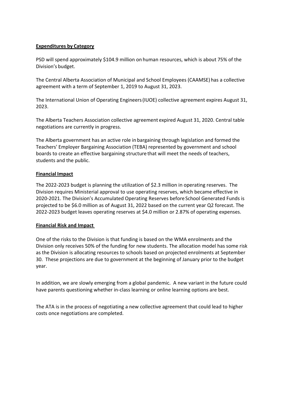#### **Expenditures by Category**

PSD will spend approximately \$104.9 million on human resources, which is about 75% of the Division's budget.

The Central Alberta Association of Municipal and School Employees (CAAMSE) has a collective agreement with a term of September 1, 2019 to August 31, 2023.

The International Union of Operating Engineers (IUOE) collective agreement expires August 31, 2023.

The Alberta Teachers Association collective agreement expired August 31, 2020. Central table negotiations are currently in progress.

The Alberta government has an active role in bargaining through legislation and formed the Teachers' Employer Bargaining Association (TEBA) represented by government and school boards to create an effective bargaining structure that will meet the needs of teachers, students and the public.

#### **Financial Impact**

The 2022‐2023 budget is planning the utilization of \$2.3 million in operating reserves. The Division requires Ministerial approval to use operating reserves, which became effective in 2020‐2021. The Division's Accumulated Operating Reserves before School Generated Funds is projected to be \$6.0 million as of August 31, 2022 based on the current year Q2 forecast. The 2022‐2023 budget leaves operating reserves at \$4.0 million or 2.87% of operating expenses.

#### **Financial Risk and Impact**

One of the risks to the Division is that funding is based on the WMA enrolments and the Division only receives 50% of the funding for new students. The allocation model has some risk as the Division is allocating resources to schools based on projected enrolments at September 30. These projections are due to government at the beginning of January prior to the budget year.

In addition, we are slowly emerging from a global pandemic. A new variant in the future could have parents questioning whether in-class learning or online learning options are best.

The ATA is in the process of negotiating a new collective agreement that could lead to higher costs once negotiations are completed.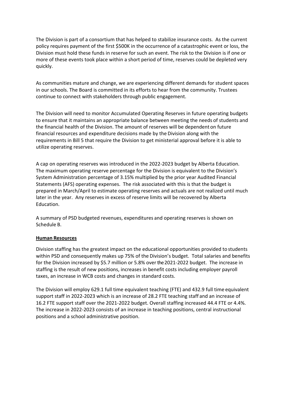The Division is part of a consortium that has helped to stabilize insurance costs. As the current policy requires payment of the first \$500K in the occurrence of a catastrophic event or loss, the Division must hold these funds in reserve for such an event. The risk to the Division is if one or more of these events took place within a short period of time, reserves could be depleted very quickly.

As communities mature and change, we are experiencing different demands for student spaces in our schools. The Board is committed in its efforts to hear from the community. Trustees continue to connect with stakeholders through public engagement.

The Division will need to monitor Accumulated Operating Reserves in future operating budgets to ensure that it maintains an appropriate balance between meeting the needs of students and the financial health of the Division. The amount of reserves will be dependent on future financial resources and expenditure decisions made by the Division along with the requirements in Bill 5 that require the Division to get ministerial approval before it is able to utilize operating reserves.

A cap on operating reserves was introduced in the 2022‐2023 budget by Alberta Education. The maximum operating reserve percentage for the Division is equivalent to the Division's System Administration percentage of 3.15% multiplied by the prior year Audited Financial Statements (AFS) operating expenses. The risk associated with this is that the budget is prepared in March/April to estimate operating reserves and actuals are not realized until much later in the year. Any reserves in excess of reserve limits will be recovered by Alberta Education.

A summary of PSD budgeted revenues, expenditures and operating reserves is shown on Schedule B.

#### **Human Resources**

Division staffing has the greatest impact on the educational opportunities provided to students within PSD and consequently makes up 75% of the Division's budget. Total salaries and benefits for the Division increased by \$5.7 million or 5.8% over the 2021-2022 budget. The increase in staffing is the result of new positions, increases in benefit costs including employer payroll taxes, an increase in WCB costs and changes in standard costs.

The Division will employ 629.1 full time equivalent teaching (FTE) and 432.9 full time equivalent support staff in 2022‐2023 which is an increase of 28.2 FTE teaching staff and an increase of 16.2 FTE support staff over the 2021‐2022 budget. Overall staffing increased 44.4 FTE or 4.4%. The increase in 2022‐2023 consists of an increase in teaching positions, central instructional positions and a school administrative position.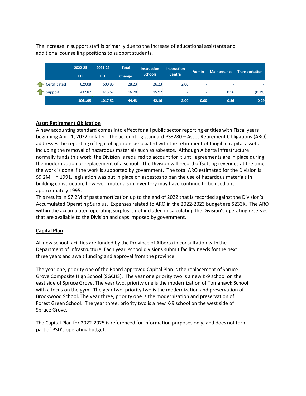The increase in support staff is primarily due to the increase of educational assistants and additional counselling positions to support students.

|              | 2022-23 | 2021-22    | <b>Total</b> | <b>Instruction</b> | <b>Instruction</b>       | <b>Admin</b> | <b>Maintenance</b> | Transportation |
|--------------|---------|------------|--------------|--------------------|--------------------------|--------------|--------------------|----------------|
|              | FTE.    | <b>FTE</b> | Change       | <b>Schools</b>     | <b>Central</b>           |              |                    |                |
| Certificated | 629.08  | 600.85     | 28.23        | 26.23              | 2.00                     |              |                    |                |
| Support      | 432.87  | 416.67     | 16.20        | 15.92              | $\overline{\phantom{a}}$ | ٠            | 0.56               | (0.29)         |
|              | 1061.95 | 1017.52    | 44.43        | 42.16              | 2.00                     | 0.00         | 0.56               | $-0.29$        |

#### **Asset Retirement Obligation**

A new accounting standard comes into effect for all public sector reporting entities with Fiscal years beginning April 1, 2022 or later. The accounting standard PS3280 – Asset Retirement Obligations (ARO) addresses the reporting of legal obligations associated with the retirement of tangible capital assets including the removal of hazardous materials such as asbestos. Although Alberta Infrastructure normally funds this work, the Division is required to account for it until agreements are in place during the modernization or replacement of a school. The Division will record offsetting revenues at the time the work is done if the work is supported by government. The total ARO estimated for the Division is \$9.2M. In 1991, legislation was put in place on asbestos to ban the use of hazardous materials in building construction, however, materials in inventory may have continue to be used until approximately 1995.

This results in \$7.2M of past amortization up to the end of 2022 that is recorded against the Division's Accumulated Operating Surplus. Expenses related to ARO in the 2022‐2023 budget are \$233K. The ARO within the accumulated operating surplus is not included in calculating the Division's operating reserves that are available to the Division and caps imposed by government.

#### **Capital Plan**

All new school facilities are funded by the Province of Alberta in consultation with the Department of Infrastructure. Each year, school divisions submit facility needs for the next three years and await funding and approval from the province.

The year one, priority one of the Board approved Capital Plan is the replacement of Spruce Grove Composite High School (SGCHS). The year one priority two is a new K‐9 school on the east side of Spruce Grove. The year two, priority one is the modernization of Tomahawk School with a focus on the gym. The year two, priority two is the modernization and preservation of Brookwood School. The year three, priority one is the modernization and preservation of Forest Green School. The year three, priority two is a new K‐9 school on the west side of Spruce Grove.

The Capital Plan for 2022‐2025 is referenced for information purposes only, and does not form part of PSD's operating budget.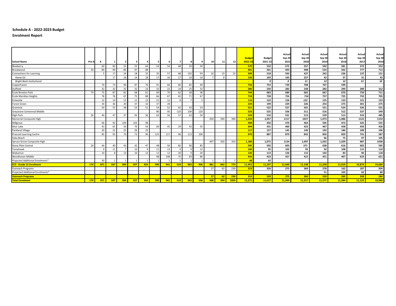#### **Schedule A ‐ 2022‐2023 Budget**

**Enrolment Report**

|                                  |       |     |     |     |     |     |     |     |     |     |            |                 |     |      | <b>Budget</b>   | <b>Budget</b> | Actual<br>Sep 29 | Actual<br>Sep 30 | Actual<br>Sep 30 | Actual<br>Sep 30 | Actual<br>Sep 30 | Actual<br>Sep 30 |
|----------------------------------|-------|-----|-----|-----|-----|-----|-----|-----|-----|-----|------------|-----------------|-----|------|-----------------|---------------|------------------|------------------|------------------|------------------|------------------|------------------|
| <b>School Name</b>               | Pre-K | к   |     |     | -3  |     | 5   | -6  |     |     |            | 10 <sup>1</sup> | 11  | 12   | 2022-23         | 2021-22       | 2021             | 2020             | 2019             | 2018             | 2017             | 2016             |
| Blueberry                        |       | 60  | 60  | 55  | 55  | 64  | 54  | 54  | 68  | 50  | 50         |                 |     |      | 570             | 532           | 572              | 557              | 592              | 581              | 572              | 553              |
| Brookwood                        | 50    | 80  | 90  | 86  | 97  | 88  |     |     |     |     |            |                 |     |      | 491             | 501           | 493              | 498              | 524              | 502              | 777              | 712              |
| <b>Connections for Learning</b>  |       |     | 17  | 24  | 18  | 32  | 35  | 57  | 68  | 102 | 93         | 16              | 19  | 23   | 509             | 518           | 593              | 427              | 242              | 236              | 137              | 151              |
| Home Ed                          |       |     | 17  | 16  | 14  | 18  | 17  | 16  | -17 | 10  | 10         |                 |     |      | 150             | 103           | 165              | 257              | 42               | 37               | 31               | 42               |
| <b>Bright Bank Institutional</b> |       |     |     |     |     |     |     |     |     |     |            |                 |     |      | <b>Contract</b> | $\bullet$     | $\boldsymbol{0}$ | 11               | 12               | 12               | 12               | 10               |
| Copperhaven<br>Duffield          |       | 70  | 73  | 96  | 87  | 76  | 91  | 66  | 66  | 82  | 49         |                 |     |      | 756             | 753           | 739              | 708              | 707              | 599              |                  |                  |
|                                  |       | 32  | 32  | 32  | 32  | 23  | 32  | 22  | 24  | 25  | 32         |                 |     |      | 286             | 250           | 282              | 238              | 282              | 290              | 289              | 312              |
| École Broxton Park               | 74    | 75  | 87  | 82  | 68  | 61  | 69  | 70  | 62  | 58  | 38         |                 |     |      | 744             | 683           | 689              | 665              | 667              | 670              | 729              | 711              |
| École Meridian Heights           |       | 76  | 76  | 67  | 75  | 88  | 66  | 67  | 65  | 71  | 67         |                 |     |      | 718             | 728           | 724              | 716              | 757              | 725              | 732              | 705              |
| Entwistle                        |       | 12  | 14  | -13 | 11  | 13  | 21  | 12  |     |     | $\epsilon$ |                 |     |      | 116             | 122           | 126              | 122              | 125              | 133              | 121              | 133              |
| <b>Forest Green</b>              |       | 34  | 36  | 30  | 37  | 32  | 37  | 28  |     |     |            |                 |     |      | 234             | 199           | 229              | 226              | 254              | 275              | 301              | 275              |
| Graminia                         |       | 50  | 55  | ΔS  | 53  | 51  | 54  | 52  | 62  | 43  | 53         |                 |     |      | 521             | 522           | 527              | 501              | 521              | 524              | 526              | 531              |
| Greystone Centennial Middle      |       |     |     |     |     |     | 96  | 95  | 110 | 104 | 120        |                 |     |      | 525             | 525           | 536              | 511              | 516              | 512              | 537              | 549              |
| High Park                        | 26    | 40  | 47  | 37  | 45  | 36  | 63  | 56  | 57  | 63  | 50         |                 |     |      | 520             | 510           | 531              | 513              | 539              | 513              | 533              | 485              |
| Memorial Composite High          |       |     |     |     |     |     |     |     |     |     |            | 450             | 394 | 390  | 1,234           | 1,057         | 1117             | 1027             | 1,073            | 1,086            | 1122             | 1154             |
| Millgrove                        |       | 96  | 92  | 109 | 103 | 98  |     |     |     |     |            |                 |     |      | 498             | 450           | 470              | 464              | 505              | 473              | 545              | 555              |
| Muir Lake                        |       | 43  | 65  | 50  | 70  | 54  | 60  | 45  | 29  | 43  | 35         |                 |     |      | 494             | 431           | 460              | 423              | 467              | 458              | 450              | 436              |
| <b>Parkland Village</b>          |       | 20  | 21  | 25  | 26  | 25  |     |     |     |     |            |                 |     |      | 117             | 157           | 145              | 149              | 192              | 186              | 189              | 196              |
| <b>Prescott Learning Centre</b>  |       | 85  | 95  | 70  | 73  | 96  | 125 | 117 | 96  | 113 | 100        |                 |     |      | 970             | 887           | 879              | 842              | 850              | 829              | 741              | 587              |
| Seba Beach                       |       |     |     |     |     |     |     |     |     |     |            |                 |     |      | $\sim$          | $\sim$        | $\sim$           |                  | 66               | 75               | 97               | 105              |
| Spruce Grove Composite High      |       |     |     |     |     |     |     |     |     |     |            | 407             | 420 | 353  | 1.180           | 1,072         | 1134             | 1,097            | 1,032            | 1,029            | 987              | 1038             |
| <b>Stony Plain Central</b>       | 24    | 44  | 40  | -43 | 42  | 47  | 48  | 50  | 82  | 90  | 85         |                 |     |      | 595             | 592           | 603              | 571              | 638              | 616              | 602              | 595              |
| Tomahawk                         |       | ۰Q  | 11  |     | 10  |     | 11  | 13  |     |     | 12         |                 |     |      | 100             | 95            | 102              | 95               | 92               | 108              | 115              | 110              |
| Wabamun                          |       | 10  |     | 13  | 10  | 12  | 12  | 12  | 20  |     | 20         |                 |     |      | 126             | 113           | 126              | 115              | 102              | 83               | 96               | 118              |
| Woodhaven Middle                 |       |     |     |     |     |     | 98  | 108 | 75  | 83  | 86         |                 |     |      | 450             | 423           | 427              | 415              | 451              | 467              | 633              | 621              |
| Projected Additional Enrolments* |       | 30  |     |     |     |     |     |     |     |     |            |                 |     |      | 48              | 65            |                  |                  |                  |                  |                  |                  |
| <b>ECS - Grade 12 Enrolment</b>  | 174   | 871 | 937 | 904 | 927 | 924 | 990 | 941 | 919 | 963 | 906        | 881             | 842 | 773  | 11,952          | 11,297        | 11,669           | 11,148           | 11,248           | 11,019           | 10,874           | 10,684           |
| Outreach Programs                |       |     |     |     |     |     |     |     |     |     |            | 27              | 62  | 230  | 319             | 320           | 275              | 369              | 278              | 162              | 187              | 204              |
| Projected Additional Enrolments* |       |     |     |     |     |     |     |     |     |     |            |                 |     |      | - 1             |               |                  |                  | 51               | 103              | 62               | 80               |
| <b>Outreach Programs</b>         |       |     |     |     |     |     |     |     |     |     |            | 27              | 62  | 230  | 319             | 320           | 275              | 369              | 329              | 265              | 249              | 284              |
| <b>Total Enrolment</b>           | 174   | 871 | 937 | 904 | 927 | 924 | 990 | 941 | 919 | 963 | 906        | 908             | 904 | 1003 | 12.271          | 11.617        | 11.944           | 11.517           | 11.577           | 11.284           | 11.123           | 10,968           |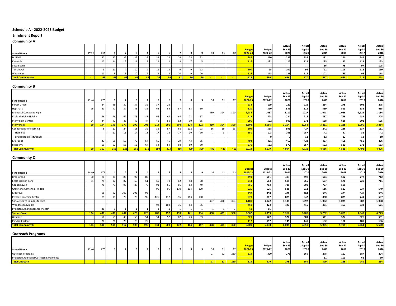#### **Schedule A ‐ 2022‐2023 Budget**

#### **Enrolment Report**

#### **Community A**

|                          | Pre-K | ECS |  |    |  |    |  | וח | 11 | 12 <sub>h</sub> | <b>Budg</b><br>2022-23 | <b>Budget</b><br>2021-22 | Actual<br>Sep 29<br>2021 | Actual<br>Sep 30<br>2020 | Actual<br>Sep 30<br>2019 | Actual<br>Sep 30<br>2018 | Actual<br>Sep 30<br>2017 | Actual<br>Sep 30<br>2016 |
|--------------------------|-------|-----|--|----|--|----|--|----|----|-----------------|------------------------|--------------------------|--------------------------|--------------------------|--------------------------|--------------------------|--------------------------|--------------------------|
| <b>School Name</b>       |       |     |  |    |  |    |  |    |    |                 |                        |                          |                          |                          |                          |                          |                          |                          |
| Duffield                 |       |     |  | 32 |  |    |  |    |    |                 |                        | 250                      | 2821                     | 238 I                    | 282                      | 290                      | 289                      | 312                      |
| Entwistle                |       |     |  | 11 |  |    |  |    |    |                 |                        | 1221                     | 126                      | 122 l                    | 125                      | 133 l                    | 121                      | 133                      |
| Seba Beach               |       |     |  |    |  |    |  |    |    |                 |                        |                          |                          |                          | 66                       | 75                       | o.                       | 105                      |
| Tomahawk                 |       |     |  |    |  |    |  |    |    |                 |                        | 951                      | 1021                     |                          | ື                        | 108                      | 115                      | 110                      |
| Wabamun                  |       |     |  |    |  | 12 |  |    |    |                 |                        | 113                      |                          | 115                      | 102<br>10Z               | 83                       | 96                       | 118                      |
| <b>Total Community A</b> |       |     |  |    |  |    |  |    |    |                 |                        |                          |                          |                          |                          | 689                      |                          | 778                      |

#### **Community B**

| <b>School Name</b>               | Pre-K     | ECS |            |                 |                          |     |     |     |               |     |            | 10 <sup>1</sup> | 11           | 12 <sub>1</sub> | <b>Budget</b><br>2022-23 | <b>Budget</b><br>2021-22 | Actua<br>Sep 29<br>2021 | Actual<br><b>Sep 30</b><br>2020 | Actua<br>Sep 30<br>2019 | Actual<br>Sep 30<br>2018 | Actual<br>Sep 30<br>2017 | Actual<br>Sep 30<br>2016 |
|----------------------------------|-----------|-----|------------|-----------------|--------------------------|-----|-----|-----|---------------|-----|------------|-----------------|--------------|-----------------|--------------------------|--------------------------|-------------------------|---------------------------------|-------------------------|--------------------------|--------------------------|--------------------------|
| Forest Green                     |           | 34  |            | 30              |                          |     |     |     |               |     |            |                 |              |                 | 234                      | 199                      | 229                     | <b>226</b>                      | 254                     | 275                      | 301                      | 275                      |
| <b>High Park</b>                 |           | 40  |            | 37              | 45.                      |     | 63  |     |               | 63  | 50.        |                 |              |                 | 520                      | 510                      | 531                     | 513                             | 539                     | 513                      | 533                      | 485                      |
| Memorial Composite High          |           |     |            |                 |                          |     |     |     |               |     |            | 450             | 394          | 390             | 1,234                    | 1057                     | 1117                    | 1027                            | 1,073                   | 1,086                    | 1,122                    | 1,154                    |
| École Meridian Heights           |           |     |            | 67              | ٠.                       | 88  | 66  | 67  | 65 I          |     | 67         |                 |              |                 | 718                      | 728                      | 724                     | <b>716</b>                      | 757                     | 725                      | 732                      | 705                      |
| Stony Plain Central              |           | 44  |            |                 |                          | 47  |     | 50  |               | ۵r  |            |                 |              |                 | 595                      | 592I                     | 603                     | 571                             | 638                     | 616                      | 602                      | 595                      |
| <b>Stony Plain</b>               | <b>50</b> | 194 |            | 177             | 199                      | 203 | 214 | 201 | 204           | 224 | 202        | 450             | 394          | 390             | 3,301                    | 3,086                    | 3,204                   | 3,053                           | 3,261                   | 3,215                    | 3,290                    | 3,214                    |
| Connections for Learning         |           |     |            | 24              | 18                       |     |     |     |               | 102 |            | 16              | 19           | 23 <sup>1</sup> | 509                      | 518                      | 593I                    | 427                             | 242                     | 236                      | 137                      | 151                      |
| Home Ed                          |           |     |            | 16              |                          |     | 17  |     |               |     |            |                 |              |                 | 150                      | 103                      | 165                     | 257                             | 42                      | 37 <sup>1</sup>          | 31                       | 42                       |
| <b>Bright Bank Institutional</b> |           |     |            |                 |                          |     |     |     |               |     |            |                 |              |                 |                          |                          |                         |                                 |                         | 12 <sub>1</sub>          | 12                       | 10 <sup>1</sup>          |
| Muir Lake                        |           | 43  | 65         | 50 <sub>1</sub> | $\overline{\phantom{a}}$ | 54  | 60  | 45  | $\mathcal{L}$ | 43  | $\sim$     |                 |              |                 | 494                      | 431                      | 460                     | 423                             | 467                     | 458                      | 450                      | 436                      |
| Blueberry                        |           | 60  | 60         | 55              |                          | 64  | 54  | 54  | 68 I          | 50  | 50         |                 |              |                 | 570                      | 532                      | 572                     | 557                             | 592                     | 581                      | 572                      | 553                      |
| <b>Total Community B</b>         | <b>50</b> | 302 | <b>358</b> | 322             | $-1$                     | 371 | 380 | 373 | <b>386</b>    | 429 | <b>390</b> | 473             | 421 <b>1</b> | 413             | 5,024                    | 4,679                    | 4,994                   | 4,728                           | 4,616                   | 4,539                    | 4,492                    | 4,406                    |

#### **Community C**

| <b>School Name</b>               | Pre-K | <b>ECS</b> |     |                 |     |     |     |     |     |     |     | 10 <sup>1</sup> | 11  | 12         | <b>Budge</b><br>2022-23 | <b>Budget</b><br>2021-22 | Actual<br>Sep 29<br>2021 | Actual<br>Sep 30<br>2020 | Actual<br>Sep 30<br>2019 | Actual<br>Sep 30<br>2018 | Actual<br>Sep 30<br>2017 | Actual<br>Sep 30<br>2016 |
|----------------------------------|-------|------------|-----|-----------------|-----|-----|-----|-----|-----|-----|-----|-----------------|-----|------------|-------------------------|--------------------------|--------------------------|--------------------------|--------------------------|--------------------------|--------------------------|--------------------------|
| Brookwood                        | 50 l  | 80         | 90  | 86 I            | n,  | 88  |     |     |     |     |     |                 |     |            | 491                     | 501                      | 493                      | 498                      | 524                      | 502                      | 777                      | 712                      |
| École Broxton Park               |       | 75.        | 87  | 82              |     |     | 69  |     |     |     | 38  |                 |     |            | 744                     | 683                      | 689                      | 665                      | 667                      | 670                      | 729                      | 711                      |
| Copperhaven                      |       | 70         | 73  | 96 I            | 87  |     |     | 66  | 66  | 82  | 49  |                 |     |            | 756                     | 753                      | 739                      | 708                      | 707                      | 599                      | $\overline{\phantom{a}}$ | $\sim$                   |
| Greystone Centennial Middle      |       |            |     |                 |     |     | 96  | 95  | 110 | 104 | 120 |                 |     |            | 525                     | 525                      | 536                      | 511                      | 516                      | 512                      | 537                      | 549                      |
| Millgrove                        |       | 96         | 92  | 109             | 103 | 98  |     |     |     |     |     |                 |     |            | 498                     | 450                      | 470                      | 464                      | 505                      | 473                      | 545                      | 555                      |
| Prescott Learning Centre         |       | 85         | 9   | 70 <sup>1</sup> | רכ  | 96  | 125 | 117 | 96  | 113 | 100 |                 |     |            | 970                     | 887                      | 879                      | 842                      | 850                      | 829                      | 741                      | 587                      |
| Spruce Grove Composite High      |       |            |     |                 |     |     |     |     |     |     |     | 407             | 420 | 353        | 1,180                   | 1,072                    | 1,134                    | 1097                     | 1,032                    | 1,029                    | 987                      | 1,038                    |
| Woodhaven Middle                 |       |            |     |                 |     |     | 98  | 108 |     | 83  | 86  |                 |     |            | 450                     | 423                      | 427                      | 415                      | 451                      | 467                      | 633                      | 621                      |
| Projected Additional Enrolments* |       | 30         |     |                 |     |     |     |     |     |     |     |                 |     |            | 48                      | 65 I                     | $\sim$                   |                          | $\sim$                   | $\overline{\phantom{a}}$ | $\overline{\phantom{a}}$ | $\sim$                   |
| <b>Spruce Grove</b>              | 124   | 436        | 438 | 444             |     | 420 | 480 | 457 | 410 | 441 | 394 | 408             | 421 | <b>360</b> | 5,662                   | 5,359                    | 5,367                    | 5,200                    | 5,252                    | 5,081                    | 4,949                    | 4,773                    |
| Graminia                         |       | 50         | 55  | 48              | 53  |     | 54  | 52  | 62  |     | 53  |                 |     |            | 521                     | 522                      | 527                      | 501                      | 521                      | 524                      | 526                      | 531                      |
| Parkland Village                 |       | 20         | 21  | 25 <sub>1</sub> |     |     |     |     |     |     |     |                 |     |            | <b>117</b>              | 157                      | 145                      | 149                      | 192                      | 186                      | 189                      | 196                      |
| <b>Total Community C</b>         | $124$ | 506        | 514 | 517             | 508 | 496 | 534 | 509 | 472 | 484 | 447 | 408             | 421 | <b>360</b> | 6,300                   | 6,038                    | 6,039                    | 5,850                    | 5,965                    | 5,791                    | 5,664                    | 5,500                    |

#### **Outreach Programs**

|                                          |       |     |  |  |  |  |    |    |      |             |               | Actua  | Actua  | Actua  | Actua  | Actual | Actual |
|------------------------------------------|-------|-----|--|--|--|--|----|----|------|-------------|---------------|--------|--------|--------|--------|--------|--------|
|                                          |       |     |  |  |  |  |    |    |      | <b>Budg</b> | <b>Budget</b> | Sep 29 | Sep 30 | Sep 30 | Sep 30 | Sep 30 | Sep 30 |
| <b>School Name</b>                       | Pre-K | ECS |  |  |  |  | 10 | 11 | 12 I | $2022 - 23$ | 2021-22       | 2021   | 2020   | 2019   | 2018   | 2017   | 2016   |
| Outreach Programs                        |       |     |  |  |  |  |    | 62 | 230  |             | 320           | 275    |        | 218    | 16     | 187    | 204    |
| Projected Additional Outreach Enrolments |       |     |  |  |  |  |    |    |      |             |               |        |        |        | 10     | יס     | 80     |
| <b>Total Outreach</b>                    |       |     |  |  |  |  |    | 62 | $-1$ |             |               |        |        |        |        |        | 284    |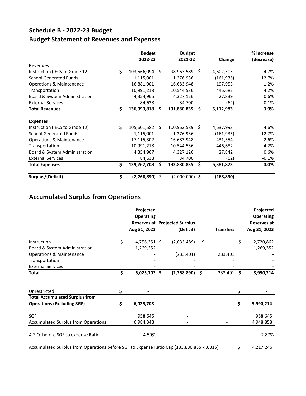# **Schedule B ‐ 2022‐23 Budget Budget Statement of Revenues and Expenses**

|                                     |     | <b>Budget</b> |      | <b>Budget</b>    |      |           | % Increase |
|-------------------------------------|-----|---------------|------|------------------|------|-----------|------------|
|                                     |     | 2022-23       |      | 2021-22          |      | Change    | (decrease) |
| <b>Revenues</b>                     |     |               |      |                  |      |           |            |
| Instruction (ECS to Grade 12)       | \$  | 103,566,094   | -Ś   | 98,963,589       | - \$ | 4,602,505 | 4.7%       |
| <b>School Generated Funds</b>       |     | 1,115,001     |      | 1,276,936        |      | (161,935) | $-12.7%$   |
| <b>Operations &amp; Maintenance</b> |     | 16,881,901    |      | 16,683,948       |      | 197,953   | 1.2%       |
| Transportation                      |     | 10,991,218    |      | 10,544,536       |      | 446,682   | 4.2%       |
| Board & System Administration       |     | 4,354,965     |      | 4,327,126        |      | 27,839    | 0.6%       |
| <b>External Services</b>            |     | 84,638        |      | 84,700           |      | (62)      | $-0.1%$    |
| <b>Total Revenues</b>               | \$  | 136,993,818   | \$   | 131,880,835      | Ŝ.   | 5,112,983 | 3.9%       |
| <b>Expenses</b>                     |     |               |      |                  |      |           |            |
| Instruction (ECS to Grade 12)       | \$  | 105,601,582   | - \$ | 100,963,589 \$   |      | 4,637,993 | 4.6%       |
| <b>School Generated Funds</b>       |     | 1,115,001     |      | 1,276,936        |      | (161,935) | $-12.7%$   |
| <b>Operations &amp; Maintenance</b> |     | 17,115,302    |      | 16,683,948       |      | 431,354   | 2.6%       |
| Transportation                      |     | 10,991,218    |      | 10,544,536       |      | 446,682   | 4.2%       |
| Board & System Administration       |     | 4,354,967     |      | 4,327,126        |      | 27,842    | 0.6%       |
| <b>External Services</b>            |     | 84,638        |      | 84,700           |      | (62)      | $-0.1%$    |
| <b>Total Expenses</b>               | \$  | 139,262,708   | Ś.   | 133,880,835      | Ŝ.   | 5,381,873 | 4.0%       |
| Surplus/(Deficit)                   | \$. | (2,268,890)   | \$   | $(2,000,000)$ \$ |      | (268,890) |            |

# **Accumulated Surplus from Operations**

|                                            |    | Projected        |                                      |                  |     | Projected                              |
|--------------------------------------------|----|------------------|--------------------------------------|------------------|-----|----------------------------------------|
|                                            |    | <b>Operating</b> | <b>Reserves at Projected Surplus</b> |                  |     | <b>Operating</b><br><b>Reserves at</b> |
|                                            |    | Aug 31, 2022     | (Deficit)                            | <b>Transfers</b> |     | Aug 31, 2023                           |
| Instruction                                | \$ | $4,756,351$ \$   | (2,035,489)                          | \$               | -\$ | 2,720,862                              |
| Board & System Administration              |    | 1,269,352        |                                      |                  |     | 1,269,352                              |
| <b>Operations &amp; Maintenance</b>        |    |                  | (233, 401)                           | 233,401          |     |                                        |
| Transportation                             |    |                  |                                      |                  |     |                                        |
| <b>External Services</b>                   |    |                  |                                      |                  |     |                                        |
| <b>Total</b>                               | \$ | $6,025,703$ \$   | (2,268,890)                          | \$<br>233,401    | .\$ | 3,990,214                              |
| Unrestricted                               | Ś. |                  |                                      |                  | Ś   |                                        |
| <b>Total Accumulated Surplus from</b>      |    |                  |                                      |                  |     |                                        |
| <b>Operations (Excluding SGF)</b>          | S. | 6,025,703        |                                      |                  | Ś.  | 3,990,214                              |
| <b>SGF</b>                                 |    | 958,645          |                                      |                  |     | 958,645                                |
| <b>Accumulated Surplus from Operations</b> |    | 6,984,348        |                                      |                  |     | 4,948,858                              |
| A.S.O. before SGF to expense Ratio         |    | 4.50%            |                                      |                  |     | 2.87%                                  |

Accumulated Surplus from Operations before SGF to Expense Ratio Cap (133,880,835 x .0315) \$ 4,217,246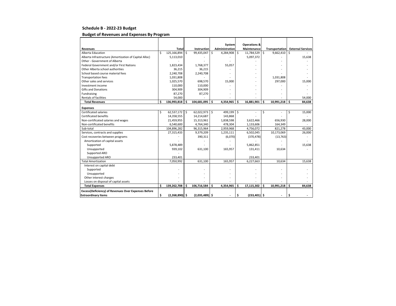#### **Schedule B ‐ 2022‐23 Budget**

#### **Budget of Revenues and Expenses By Program**

|                                                        |     |                  |     |                  |    | System         |              | <b>Operations &amp;</b> |     |                |     |                          |
|--------------------------------------------------------|-----|------------------|-----|------------------|----|----------------|--------------|-------------------------|-----|----------------|-----|--------------------------|
| <b>Revenues</b>                                        |     | Total            |     | Instruction      |    | Administration |              | <b>Maintenance</b>      |     | Transportation |     | <b>External Services</b> |
| Alberta Education                                      | Ś.  | 125,166,894      | Ś.  | 99,435,047       | Ŝ. | 4,284,908      | <sup>5</sup> | 11,784,529 \$           |     | 9,662,410      | Ś.  |                          |
| Alberta Infrastructure (Amortization of Capital Alloc) |     | 5,113,010        |     |                  |    |                |              | 5,097,372               |     |                |     | 15,638                   |
| Other - Government of Alberta                          |     |                  |     |                  |    |                |              |                         |     |                |     |                          |
| Federal Government and/or First Nations                |     | 1,823,434        |     | 1,768,377        |    | 55,057         |              |                         |     |                |     |                          |
| Other Alberta school authorities                       |     | 36,215           |     | 36,215           |    |                |              |                         |     |                |     |                          |
| School based course material fees                      |     | 2,240,708        |     | 2,240,708        |    |                |              |                         |     |                |     |                          |
| <b>Transportation fees</b>                             |     | 1,031,808        |     |                  |    |                |              |                         |     | 1,031,808      |     |                          |
| Other sales and services                               |     | 1,025,570        |     | 698,570          |    | 15,000         |              |                         |     | 297,000        |     | 15,000                   |
| Investment income                                      |     | 110,000          |     | 110,000          |    |                |              |                         |     |                |     |                          |
| <b>Gifts and Donations</b>                             |     | 304,909          |     | 304,909          |    |                |              |                         |     |                |     |                          |
| Fundraising                                            |     | 87,270           |     | 87,270           |    |                |              |                         |     |                |     |                          |
| <b>Rentals of facilities</b>                           |     | 54,000           |     |                  |    |                |              |                         |     |                |     | 54,000                   |
| <b>Total Revenues</b>                                  | \$. | 136,993,818      | Ś.  | 104,681,095      | Ŝ. | 4,354,965      | \$.          | 16.881.901              | \$. | 10.991.218     | Ŝ.  | 84.638                   |
| <b>Expenses</b>                                        |     |                  |     |                  |    |                |              |                         |     |                |     |                          |
| Certificated salaries                                  | Ś.  | 62,537,172 \$    |     | 62,022,973 \$    |    | 499,199 \$     |              |                         | \$  |                | \$  | 15,000                   |
| <b>Certificated benefits</b>                           |     | 14,358,555       |     | 14,214,687       |    | 143,868        |              |                         |     |                |     |                          |
| Non-certificated salaries and wages                    |     | 21,459,955       |     | 15,313,961       |    | 1,838,598      |              | 3,622,466               |     | 656,930        |     | 28,000                   |
| Non-certificated benefits                              |     | 6,540,600        |     | 4,764,340        |    | 478,304        |              | 1,133,606               |     | 164,349        |     |                          |
| Sub-total                                              |     | 104,896,282      |     | 96,315,964       |    | 2,959,968      |              | 4,756,072               |     | 821,278        |     | 43,000                   |
| Services, contracts and supplies                       |     | 27,315,433       |     | 9,379,209        |    | 1,235,111      |              | 6,502,045               |     | 10,173,069     |     | 26,000                   |
| Cost recoveries between programs                       |     |                  |     | 390,311          |    | (6,070)        |              | (370, 478)              |     | (13, 763)      |     |                          |
| Amortization of capital assets                         |     |                  |     |                  |    |                |              |                         |     |                |     |                          |
| Supported                                              |     | 5,878,489        |     |                  |    |                |              | 5,862,851               |     |                |     | 15,638                   |
| Unsupported                                            |     | 939,102          |     | 631,100          |    | 165,957        |              | 131,411                 |     | 10,634         |     |                          |
| Supported ARO                                          |     |                  |     |                  |    |                |              |                         |     |                |     |                          |
| Unsupported ARO                                        |     | 233,401          |     |                  |    |                |              | 233,401                 |     |                |     |                          |
| <b>Total Amortization</b>                              |     | 7,050,992        |     | 631,100          |    | 165,957        |              | 6,227,663               |     | 10,634         |     | 15,638                   |
| Interest on capital debt                               |     |                  |     |                  |    |                |              |                         |     |                |     |                          |
| Supported                                              |     |                  |     |                  |    |                |              |                         |     |                |     |                          |
| Unsupported                                            |     |                  |     |                  |    |                |              |                         |     |                |     |                          |
| Other interest charges                                 |     |                  |     |                  |    |                |              |                         |     |                |     |                          |
| Losses on disposal of capital assets                   |     |                  |     |                  |    |                |              |                         |     |                |     |                          |
| <b>Total Expenses</b>                                  | Ŝ   | 139,262,708      | \$. | 106,716,584      | Ŝ. | 4,354,965      | Ś.           | 17,115,302              | \$  | 10,991,218     | \$. | 84,638                   |
| Excess(Deficiency) of Revenues Over Expenses Before    |     |                  |     |                  |    |                |              |                         |     |                |     |                          |
| <b>Extraordinary Items</b>                             | \$  | $(2,268,890)$ \$ |     | $(2,035,489)$ \$ |    |                | \$           | $(233, 401)$ \$         |     |                | \$  |                          |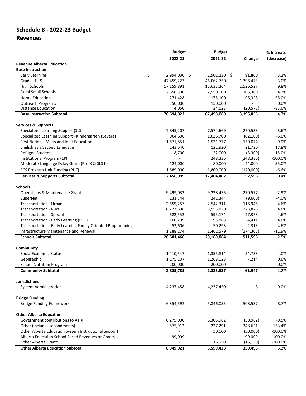# **Schedule B ‐ 2022‐23 Budget**

# **Revenues**

|                                                             | <b>Budget</b>      | <b>Budget</b> |            | % Increase |
|-------------------------------------------------------------|--------------------|---------------|------------|------------|
|                                                             | 2022-23            | 2021-22       | Change     | (decrease) |
| <b>Revenue Alberta Education</b>                            |                    |               |            |            |
| <b>Base Instruction</b>                                     |                    |               |            |            |
| <b>Early Learning</b>                                       | \$<br>2,994,030 \$ | 2,902,230 \$  | 91,800     | 3.2%       |
| Grades 1 - 9                                                | 47,459,223         | 46,062,750    | 1,396,473  | 3.0%       |
| <b>High Schools</b>                                         | 17,159,891         | 15,633,364    | 1,526,527  | 9.8%       |
| <b>Rural Small Schools</b>                                  | 2,656,300          | 2,550,000     | 106,300    | 4.2%       |
| <b>Home Education</b>                                       | 271,428            | 175,100       | 96,328     | 55.0%      |
| Outreach Programs                                           | 150,000            | 150,000       |            | 0.0%       |
| <b>Distance Education</b>                                   | 4,050              | 24,623        | (20, 573)  | $-83.6%$   |
| <b>Base Instruction Subtotal</b>                            | 70,694,922         | 67,498,068    | 3,196,855  | 4.7%       |
|                                                             |                    |               |            |            |
| <b>Services &amp; Supports</b>                              |                    |               |            |            |
| Specialized Learning Support (SLS)                          | 7,845,207          | 7,574,669     | 270,538    | 3.6%       |
| Specialized Learning Support - Kindergarten (Severe)        | 964,600            | 1,026,700     | (62, 100)  | $-6.0%$    |
| First Nations, Metis and Inuit Education                    | 1,671,851          | 1,521,777     | 150,074    | 9.9%       |
| English as a Second Language                                | 143,640            | 121,920       | 21,720     | 17.8%      |
| Refugee Student                                             | 18,700             | 22,000        | (3,300)    | $-15.0%$   |
| Institutional Program (EPI)                                 |                    | 248,336       | (248, 336) | $-100.0%$  |
| Moderate Language Delay Grant (Pre-K & SLS K)               | 124,000            | 80,000        | 44,000     | 55.0%      |
| ECS Program Unit Funding (PUF) <sup>3</sup>                 | 1,689,000          | 1,809,000     | (120,000)  | $-6.6%$    |
| <b>Services &amp; Supports Subtotal</b>                     | 12,456,999         | 12,404,402    | 52,596     | 0.4%       |
| <b>Schools</b>                                              |                    |               |            |            |
| <b>Operations &amp; Maintenance Grant</b>                   | 9,499,032          | 9,228,455     | 270,577    | 2.9%       |
| SuperNet                                                    | 231,744            | 241,344       | (9,600)    | $-4.0%$    |
| Transportation - Urban                                      | 2,659,257          | 2,542,311     | 116,946    | 4.6%       |
| Transportation - Rural                                      | 6,227,696          | 5,953,820     | 273,876    | 4.6%       |
| <b>Transportation - Special</b>                             | 622,552            | 595,174       | 27,378     | 4.6%       |
| Transportation - Early Learning (PUF)                       | 100,299            | 95,888        | 4,411      | 4.6%       |
| Transportation - Early Learning Family Oriented Programming | 52,606             | 50,293        | 2,313      | 4.6%       |
| Infrastructure Maintenance and Renewal                      | 1,288,274          | 1,462,579     | (174, 305) | $-11.9%$   |
| <b>Schools Subtotal</b>                                     | 20,681,460         | 20,169,864    | 511,596    | 2.5%       |
|                                                             |                    |               |            |            |
| Community                                                   |                    |               |            |            |
| Socio-Economic Status                                       | 1,410,547          | 1,355,814     | 54,733     | 4.0%       |
| Geographic                                                  | 1,275,237          | 1,268,023     | 7,214      | 0.6%       |
| <b>School Nutrition Program</b>                             | 200,000            | 200,000       |            | 0.0%       |
| <b>Community Subtotal</b>                                   | 2,885,785          | 2,823,837     | 61,947     | 2.2%       |
| <b>Jurisdictions</b>                                        |                    |               |            |            |
| <b>System Administration</b>                                | 4,237,458          | 4,237,450     | 8          | 0.0%       |
| <b>Bridge Funding</b>                                       |                    |               |            |            |
| <b>Bridge Funding Framework</b>                             | 6,354,592          | 5,846,055     | 508,537    | 8.7%       |
|                                                             |                    |               |            |            |
| <b>Other Alberta Education</b>                              |                    |               |            |            |
| Government contributions to ATRF                            | 6,275,000          | 6,305,982     | (30, 982)  | $-0.5%$    |
| Other (includes secondments)                                | 575,912            | 227,291       | 348,621    | 153.4%     |
| Other Alberta Education System Instructional Support        |                    | 50,000        | (50,000)   | $-100.0\%$ |
| Alberta Education School Based Revenues or Grants           | 99,009             |               | 99,009     | 100.0%     |
| <b>Other Alberta Grants</b>                                 |                    | 16,150        | (16, 150)  | $-100.0%$  |
| <b>Other Alberta Education Subtotal</b>                     | 6,949,921          | 6,599,423     | 350,498    | 5.3%       |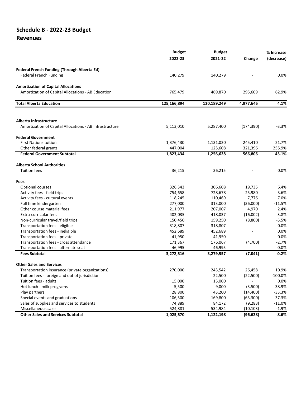# **Schedule B ‐ 2022‐23 Budget**

### **Revenues**

|                                                         | <b>Budget</b>            | <b>Budget</b> |                          | % Increase |
|---------------------------------------------------------|--------------------------|---------------|--------------------------|------------|
|                                                         | 2022-23                  | 2021-22       | Change                   | (decrease) |
| <b>Federal French Funding (Through Alberta Ed)</b>      |                          |               |                          |            |
| <b>Federal French Funding</b>                           | 140,279                  | 140,279       |                          | $0.0\%$    |
| <b>Amortization of Capital Allocations</b>              |                          |               |                          |            |
| Amortization of Capital Allocations - AB Education      | 765,479                  | 469,870       | 295,609                  | 62.9%      |
| <b>Total Alberta Education</b>                          | 125,166,894              | 120,189,249   | 4,977,646                | 4.1%       |
|                                                         |                          |               |                          |            |
| Alberta Infrastructure                                  |                          |               |                          |            |
| Amortization of Capital Allocations - AB Infrastructure | 5,113,010                | 5,287,400     | (174, 390)               | $-3.3%$    |
| <b>Federal Government</b>                               |                          |               |                          |            |
| <b>First Nations tuition</b>                            | 1,376,430                | 1,131,020     | 245,410                  | 21.7%      |
| Other federal grants                                    | 447,004                  | 125,608       | 321,396                  | 255.9%     |
| <b>Federal Government Subtotal</b>                      | 1,823,434                | 1,256,628     | 566,806                  | 45.1%      |
| <b>Alberta School Authorities</b>                       |                          |               |                          |            |
| <b>Tuition fees</b>                                     | 36,215                   | 36,215        |                          | 0.0%       |
| Fees                                                    |                          |               |                          |            |
| Optional courses                                        | 326,343                  | 306,608       | 19,735                   | 6.4%       |
| Activity fees - field trips                             | 754,658                  | 728,678       | 25,980                   | 3.6%       |
| Activity fees - cultural events                         | 118,245                  | 110,469       | 7,776                    | 7.0%       |
| Full time kindergarten                                  | 277,000                  | 313,000       | (36,000)                 | $-11.5%$   |
| Other course material fees                              | 211,977                  | 207,007       | 4,970                    | 2.4%       |
| Extra-curricular fees                                   | 402,035                  | 418,037       | (16,002)                 | $-3.8%$    |
| Non-curricular travel/field trips                       | 150,450                  | 159,250       | (8,800)                  | $-5.5%$    |
| Transportation fees - eligible                          | 318,807                  | 318,807       |                          | 0.0%       |
| Transportation fees - ineligible                        | 452,689                  | 452,689       |                          | 0.0%       |
| Transportation fees - private                           | 41,950                   | 41,950        |                          | 0.0%       |
| Transportation fees - cross attendance                  | 171,367                  | 176,067       | (4,700)                  | $-2.7%$    |
| Transportation fees - alternate seat                    | 46,995                   | 46,995        | $\overline{\phantom{a}}$ | 0.0%       |
| <b>Fees Subtotal</b>                                    | 3,272,516                | 3,279,557     | (7,041)                  | $-0.2%$    |
| <b>Other Sales and Services</b>                         |                          |               |                          |            |
| Transportation insurance (private organizations)        | 270,000                  | 243,542       | 26,458                   | 10.9%      |
| Tuition fees - foreign and out of jurisdiction          | $\overline{\phantom{a}}$ | 22,500        | (22, 500)                | $-100.0\%$ |
| Tuition fees - adults                                   | 15,000                   | 15,000        |                          | 0.0%       |
| Hot lunch - milk programs                               | 5,500                    | 9,000         | (3,500)                  | $-38.9%$   |
| Play partners                                           | 28,800                   | 43,200        | (14, 400)                | $-33.3%$   |
| Special events and graduations                          | 106,500                  | 169,800       | (63, 300)                | $-37.3%$   |
| Sales of supplies and services to students              | 74,889                   | 84,172        | (9, 283)                 | $-11.0%$   |
| Miscellaneous sales                                     | 524,881                  | 534,984       | (10, 103)                | $-1.9%$    |
| <b>Other Sales and Services Subtotal</b>                | 1,025,570                | 1,122,198     | (96, 628)                | $-8.6%$    |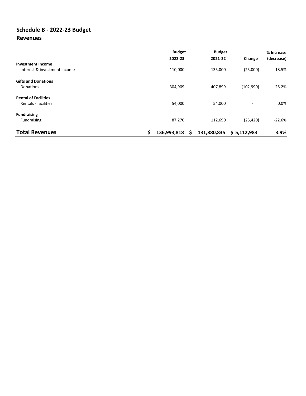# **Schedule B ‐ 2022‐23 Budget Revenues**

|                                                          | <b>Budget</b><br>2022-23 | <b>Budget</b><br>2021-22 | Change      | % Increase<br>(decrease) |
|----------------------------------------------------------|--------------------------|--------------------------|-------------|--------------------------|
| <b>Investment Income</b><br>Interest & investment income | 110,000                  | 135,000                  | (25,000)    | $-18.5%$                 |
| <b>Gifts and Donations</b><br>Donations                  | 304,909                  | 407,899                  | (102,990)   | $-25.2%$                 |
| <b>Rental of Facilities</b><br>Rentals - facilities      | 54,000                   | 54,000                   |             | 0.0%                     |
| <b>Fundraising</b><br>Fundraising                        | 87,270                   | 112,690                  | (25, 420)   | $-22.6%$                 |
| <b>Total Revenues</b>                                    | Ŝ<br>136,993,818         | 131,880,835<br>S         | \$5,112,983 | 3.9%                     |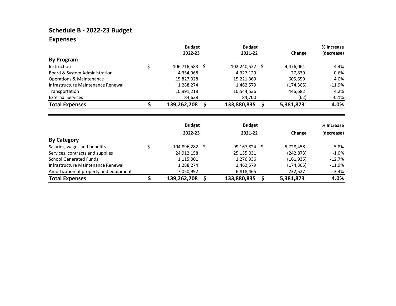# **Schedule B ‐ 2022‐23 Budget Expenses**

|                                     | <b>Budget</b> |  |                | <b>Budget</b> |           | % Increase |
|-------------------------------------|---------------|--|----------------|---------------|-----------|------------|
|                                     | 2022-23       |  | 2021-22        |               | Change    | (decrease) |
| <b>By Program</b>                   |               |  |                |               |           |            |
| Instruction                         | 106,716,583   |  | 102,240,522 \$ |               | 4,476,061 | 4.4%       |
| Board & System Administration       | 4,354,968     |  | 4,327,129      |               | 27,839    | 0.6%       |
| <b>Operations &amp; Maintenance</b> | 15,827,028    |  | 15,221,369     |               | 605,659   | 4.0%       |
| Infrastructure Maintenance Renewal  | 1,288,274     |  | 1,462,579      |               | (174,305) | $-11.9\%$  |
| Transportation                      | 10,991,218    |  | 10,544,536     |               | 446,682   | 4.2%       |
| <b>External Services</b>            | 84,638        |  | 84,700         |               | (62)      | $-0.1%$    |
| <b>Total Expenses</b>               | 139,262,708   |  | 133,880,835    |               | 5,381,873 | 4.0%       |

|                                        | <b>Budget</b><br>2022-23 | <b>Budget</b><br>2021-22 | Change     | % Increase<br>(decrease) |
|----------------------------------------|--------------------------|--------------------------|------------|--------------------------|
| <b>By Category</b>                     |                          |                          |            |                          |
| Salaries, wages and benefits           | 104,896,282              | 99,167,824 \$            | 5,728,458  | 5.8%                     |
| Services, contracts and supplies       | 24,912,158               | 25,155,031               | (242, 873) | $-1.0\%$                 |
| <b>School Generated Funds</b>          | 1,115,001                | 1,276,936                | (161, 935) | $-12.7\%$                |
| Infrastructure Maintenance Renewal     | 1,288,274                | 1,462,579                | (174,305)  | $-11.9\%$                |
| Amortization of property and equipment | 7,050,992                | 6,818,465                | 232,527    | 3.4%                     |
| <b>Total Expenses</b>                  | 139,262,708              | 133,880,835              | 5,381,873  | 4.0%                     |